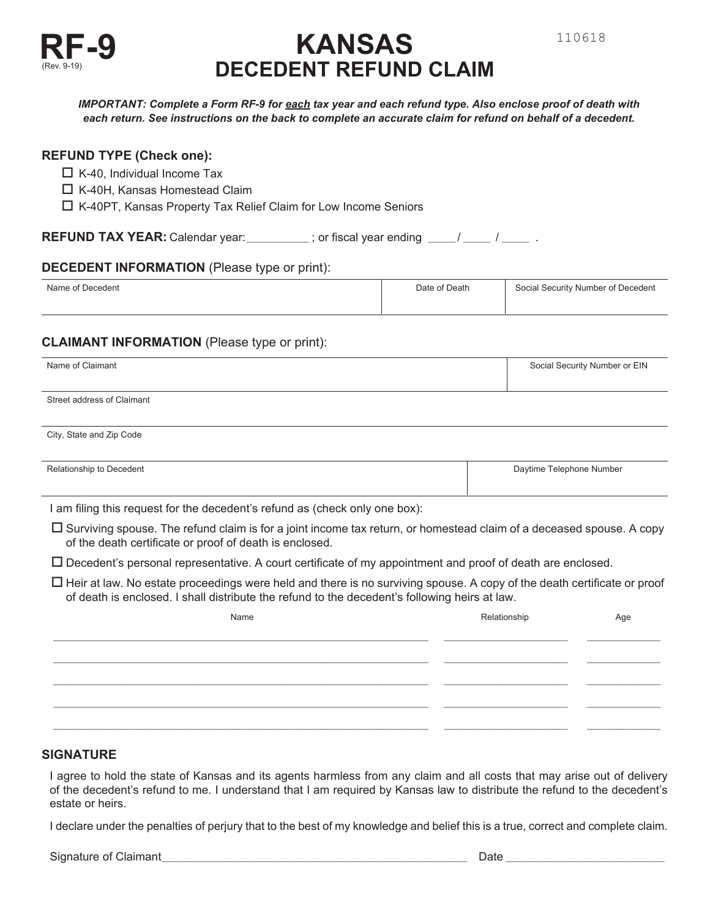

# **KANSAS DECEDENT REFUND CLAIM**

110618

*each return. See instructions on the back to complete an accurate claim for refund on behalf of a decedent.*

# **REFUND TYPE (Check one):**

- $\Box$  K-40, Individual Income Tax
- □ K-40H, Kansas Homestead Claim
- □ K-40PT, Kansas Property Tax Relief Claim for Low Income Seniors

**REFUND TAX YEAR:** Calendar year:\_\_\_\_\_\_\_\_\_\_\_; or fiscal year ending \_\_\_\_/ \_\_\_\_\_ / \_\_\_\_\_\_ .

# **DECEDENT INFORMATION** (Please type or print):

| Name of Decedent | Date of Death | Social Security Number of Decedent |
|------------------|---------------|------------------------------------|
|                  |               |                                    |

# **CLAIMANT INFORMATION** (Please type or print):

| Name of Claimant           | Social Security Number or EIN |
|----------------------------|-------------------------------|
|                            |                               |
| Street address of Claimant |                               |
|                            |                               |
| City, State and Zip Code   |                               |
|                            |                               |
| Relationship to Decedent   | Daytime Telephone Number      |

|  | I am filing this request for the decedent's refund as (check only one box): |  |  |
|--|-----------------------------------------------------------------------------|--|--|

- $\Box$  Surviving spouse. The refund claim is for a joint income tax return, or homestead claim of a deceased spouse. A copy of the death certificate or proof of death is enclosed.
- $\Box$  Decedent's personal representative. A court certificate of my appointment and proof of death are enclosed.
- $\Box$  Heir at law. No estate proceedings were held and there is no surviving spouse. A copy of the death certificate or proof of death is enclosed. I shall distribute the refund to the decedent's following heirs at law.

| Name | Relationship | Age |
|------|--------------|-----|
|      |              |     |
|      |              |     |
|      |              |     |
|      |              |     |
|      |              |     |

# **SIGNATURE**

I agree to hold the state of Kansas and its agents harmless from any claim and all costs that may arise out of delivery of the decedent's refund to me. I understand that I am required by Kansas law to distribute the refund to the decedent's estate or heirs.

I declare under the penalties of perjury that to the best of my knowledge and belief this is a true, correct and complete claim.

Signature of Claimant **Exercise 2** and the set of Claimant **Contract and the algebra 2** and the 2 and the 2 and the 2 and the 2 and the 2 and the 2 and the 2 and the 2 and the 2 and the 2 and the 2 and the 2 and the 2 and